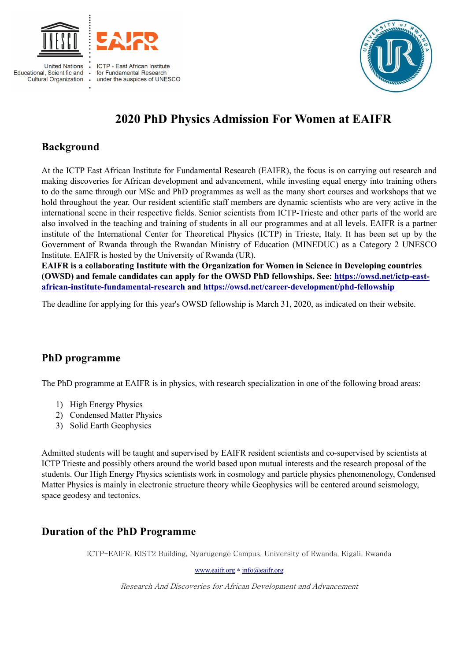

**United Nations** Educational, Scientific and **Cultural Organization** 



under the auspices of UNESCO



# **2020 PhD Physics Admission For Women at EAIFR**

# **Background**

At the ICTP East African Institute for Fundamental Research (EAIFR), the focus is on carrying out research and making discoveries for African development and advancement, while investing equal energy into training others to do the same through our MSc and PhD programmes as well as the many short courses and workshops that we hold throughout the year. Our resident scientific staff members are dynamic scientists who are very active in the international scene in their respective fields. Senior scientists from ICTP-Trieste and other parts of the world are also involved in the teaching and training of students in all our programmes and at all levels. EAIFR is a partner institute of the International Center for Theoretical Physics (ICTP) in Trieste, Italy. It has been set up by the Government of Rwanda through the Rwandan Ministry of Education (MINEDUC) as a Category 2 UNESCO Institute. EAIFR is hosted by the University of Rwanda (UR).

**EAIFR is a collaborating Institute with the Organization for Women in Science in Developing countries (OWSD) and female candidates can apply for the OWSD PhD fellowships. See: https://owsd.net/ictp-eastafrican-institute-fundamental-research and https://owsd.net/career-development/phd-fellowship**

The deadline for applying for this year's OWSD fellowship is March 31, 2020, as indicated on their website.

## **PhD programme**

The PhD programme at EAIFR is in physics, with research specialization in one of the following broad areas:

- 1) High Energy Physics
- 2) Condensed Matter Physics
- 3) Solid Earth Geophysics

Admitted students will be taught and supervised by EAIFR resident scientists and co-supervised by scientists at ICTP Trieste and possibly others around the world based upon mutual interests and the research proposal of the students. Our High Energy Physics scientists work in cosmology and particle physics phenomenology, Condensed Matter Physics is mainly in electronic structure theory while Geophysics will be centered around seismology, space geodesy and tectonics.

## **Duration of the PhD Programme**

ICTP-EAIFR, KIST2 Building, Nyarugenge Campus, University of Rwanda, Kigali, Rwanda

www.eaifr.org \* info@eaifr.org

Research And Discoveries for African Development and Advancement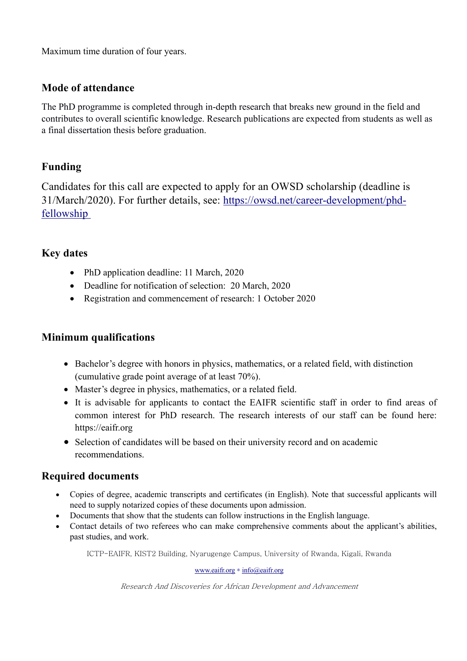Maximum time duration of four years.

## **Mode of attendance**

The PhD programme is completed through in-depth research that breaks new ground in the field and contributes to overall scientific knowledge. Research publications are expected from students as well as a final dissertation thesis before graduation.

## **Funding**

Candidates for this call are expected to apply for an OWSD scholarship (deadline is 31/March/2020). For further details, see: https://owsd.net/career-development/phdfellowship

## **Key dates**

- PhD application deadline: 11 March, 2020
- Deadline for notification of selection: 20 March, 2020
- Registration and commencement of research: 1 October 2020

## **Minimum qualifications**

- Bachelor's degree with honors in physics, mathematics, or a related field, with distinction (cumulative grade point average of at least 70%).
- Master's degree in physics, mathematics, or a related field.
- It is advisable for applicants to contact the EAIFR scientific staff in order to find areas of common interest for PhD research. The research interests of our staff can be found here: https://eaifr.org
- Selection of candidates will be based on their university record and on academic recommendations.

## **Required documents**

- Copies of degree, academic transcripts and certificates (in English). Note that successful applicants will need to supply notarized copies of these documents upon admission.
- Documents that show that the students can follow instructions in the English language.
- Contact details of two referees who can make comprehensive comments about the applicant's abilities, past studies, and work.

ICTP-EAIFR, KIST2 Building, Nyarugenge Campus, University of Rwanda, Kigali, Rwanda

www.eaifr.org \* info@eaifr.org

Research And Discoveries for African Development and Advancement